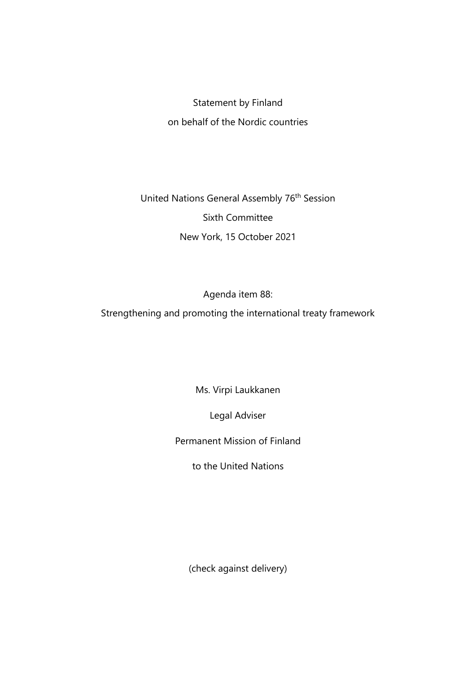## Statement by Finland on behalf of the Nordic countries

United Nations General Assembly 76<sup>th</sup> Session Sixth Committee New York, 15 October 2021

Agenda item 88:

Strengthening and promoting the international treaty framework

Ms. Virpi Laukkanen

Legal Adviser

Permanent Mission of Finland

to the United Nations

(check against delivery)